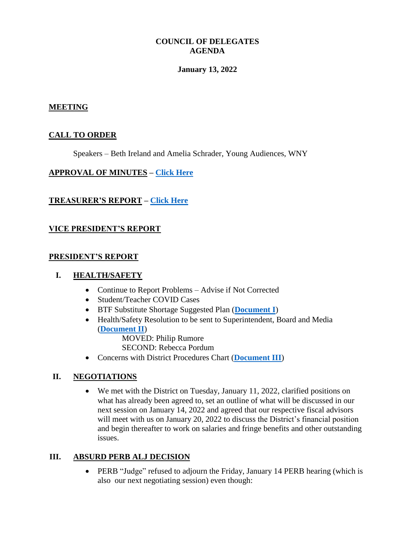## **COUNCIL OF DELEGATES AGENDA**

### **January 13, 2022**

### **MEETING**

## **CALL TO ORDER**

Speakers – Beth Ireland and Amelia Schrader, Young Audiences, WNY

#### **APPROVAL OF MINUTES – [Click Here](http://www.btfny.org/cod/agendas/2022/jan13/cod_minutes_12921.pdf)**

## **TREASURER'S REPORT – [Click Here](http://www.btfny.org/cod/agendas/2022/jan13/finance_statement_113021.pdf)**

## **VICE PRESIDENT'S REPORT**

#### **PRESIDENT'S REPORT**

#### **I. HEALTH/SAFETY**

- Continue to Report Problems Advise if Not Corrected
- Student/Teacher COVID Cases
- BTF Substitute Shortage Suggested Plan (**[Document I](http://www.btfny.org/cod/agendas/2022/jan13/substitute_shortage_1522.pdf)**)
- Health/Safety Resolution to be sent to Superintendent, Board and Media (**[Document II](http://www.btfny.org/cod/agendas/2022/jan13/11322_doc2-2.pdf)**)

MOVED: Philip Rumore

SECOND: Rebecca Pordum

Concerns with District Procedures Chart (**[Document III](http://www.btfny.org/cod/agendas/2022/jan13/11321_doc3.pdf)**)

## **II. NEGOTIATIONS**

 We met with the District on Tuesday, January 11, 2022, clarified positions on what has already been agreed to, set an outline of what will be discussed in our next session on January 14, 2022 and agreed that our respective fiscal advisors will meet with us on January 20, 2022 to discuss the District's financial position and begin thereafter to work on salaries and fringe benefits and other outstanding issues.

## **III. ABSURD PERB ALJ DECISION**

• PERB "Judge" refused to adjourn the Friday, January 14 PERB hearing (which is also our next negotiating session) even though: